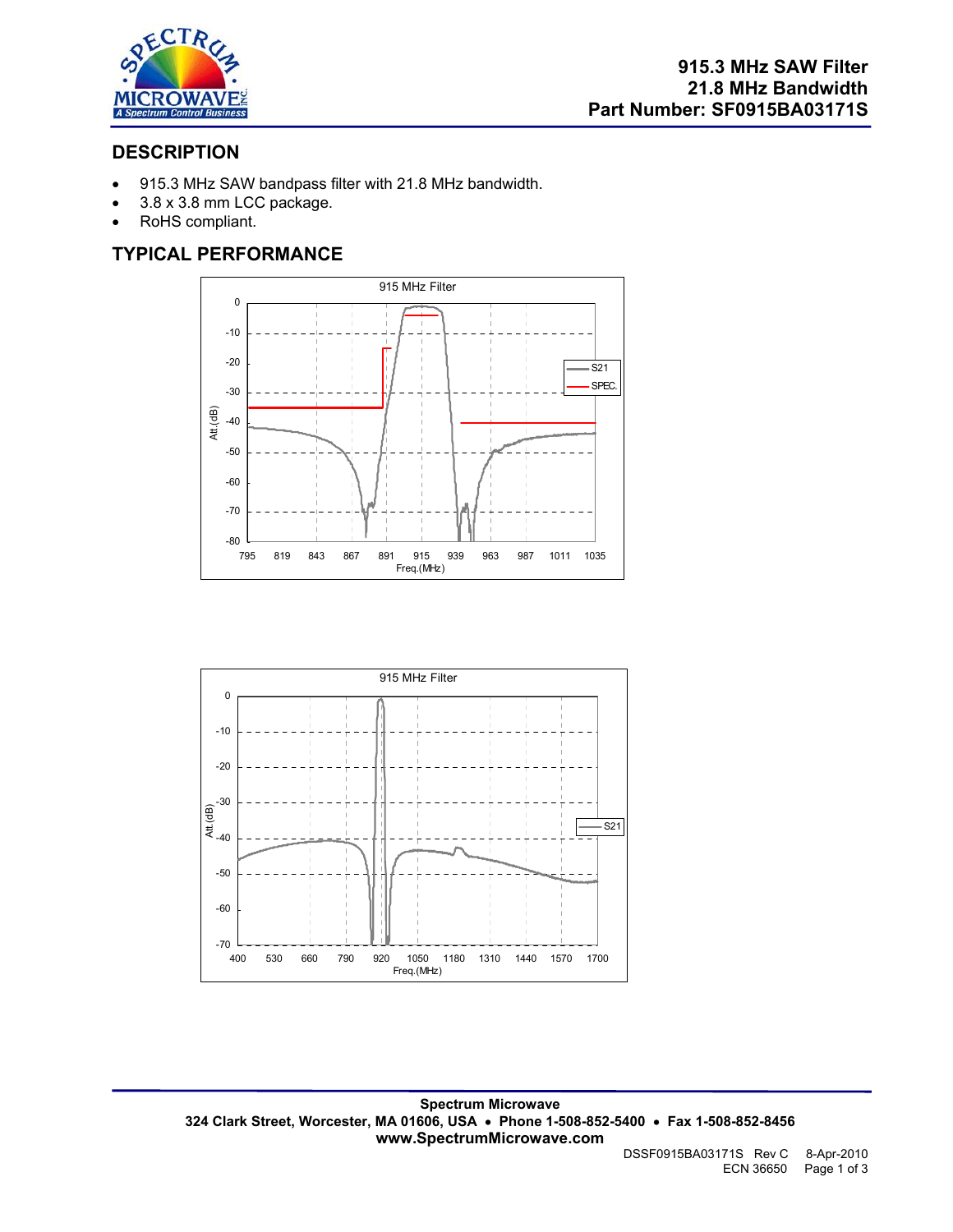

# **DESCRIPTION**

- 915.3 MHz SAW bandpass filter with 21.8 MHz bandwidth.
- 3.8 x 3.8 mm LCC package.
- RoHS compliant.

# **TYPICAL PERFORMANCE**



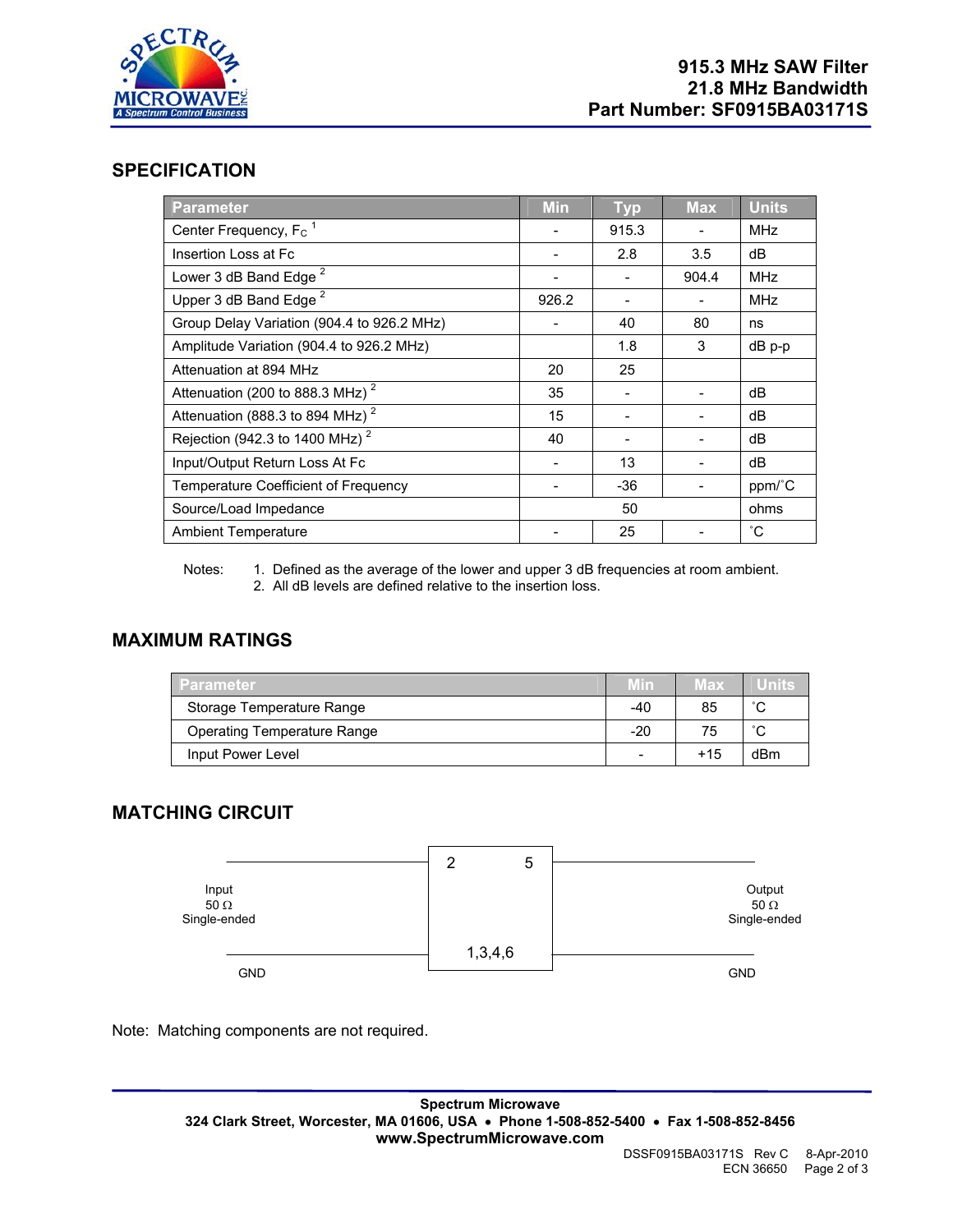

### **SPECIFICATION**

| <b>Parameter</b>                              | <b>Min</b> | <b>Typ</b> | <b>Max</b> | <b>Units</b> |
|-----------------------------------------------|------------|------------|------------|--------------|
| Center Frequency, F <sub>c</sub> <sup>1</sup> |            | 915.3      |            | MHz          |
| Insertion Loss at Fc                          |            | 2.8        | 3.5        | dB           |
| Lower 3 dB Band Edge <sup>2</sup>             |            |            | 904.4      | MHz          |
| Upper 3 dB Band Edge <sup>2</sup>             | 926.2      |            |            | MHz          |
| Group Delay Variation (904.4 to 926.2 MHz)    |            | 40         | 80         | ns           |
| Amplitude Variation (904.4 to 926.2 MHz)      |            | 1.8        | 3          | dB p-p       |
| Attenuation at 894 MHz                        | 20         | 25         |            |              |
| Attenuation (200 to 888.3 MHz) <sup>2</sup>   | 35         |            |            | dB           |
| Attenuation (888.3 to 894 MHz) <sup>2</sup>   | 15         |            |            | dB           |
| Rejection (942.3 to 1400 MHz) <sup>2</sup>    | 40         |            |            | dB           |
| Input/Output Return Loss At Fc                |            | 13         |            | dB           |
| Temperature Coefficient of Frequency          |            | -36        |            | ppm/°C       |
| Source/Load Impedance                         |            | 50         |            | ohms         |
| <b>Ambient Temperature</b>                    |            | 25         |            | $^{\circ}C$  |

Notes: 1. Defined as the average of the lower and upper 3 dB frequencies at room ambient. 2. All dB levels are defined relative to the insertion loss.

### **MAXIMUM RATINGS**

| Parameter                          |     | Max   | Units  |
|------------------------------------|-----|-------|--------|
| Storage Temperature Range          | -40 | 85    | $\sim$ |
| <b>Operating Temperature Range</b> | -20 | 75    | $\sim$ |
| Input Power Level                  | -   | $+15$ | dBm    |

# **MATCHING CIRCUIT**



Note: Matching components are not required.

**Spectrum Microwave 324 Clark Street, Worcester, MA 01606, USA** • **Phone 1-508-852-5400** • **Fax 1-508-852-8456 www.SpectrumMicrowave.com**